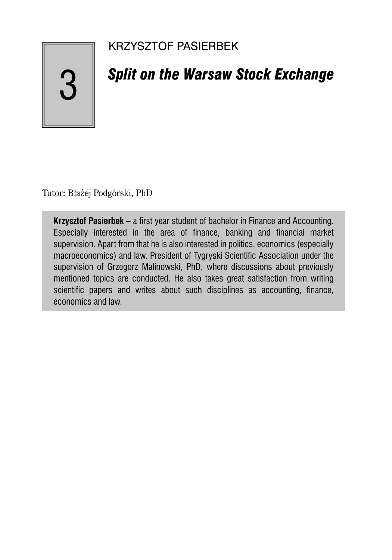### KRZYSZTOF PASIERBEK

# 3

## *Split on the Warsaw Stock Exchange*

Tutor: Błażej Podgórski, PhD

**Krzysztof Pasierbek** – a first year student of bachelor in Finance and Accounting. Especially interested in the area of finance, banking and financial market supervision. Apart from that he is also interested in politics, economics (especially macroeconomics) and law. President of Tygryski Scientific Association under the supervision of Grzegorz Malinowski, PhD, where discussions about previously mentioned topics are conducted. He also takes great satisfaction from writing scientific papers and writes about such disciplines as accounting, finance, economics and law.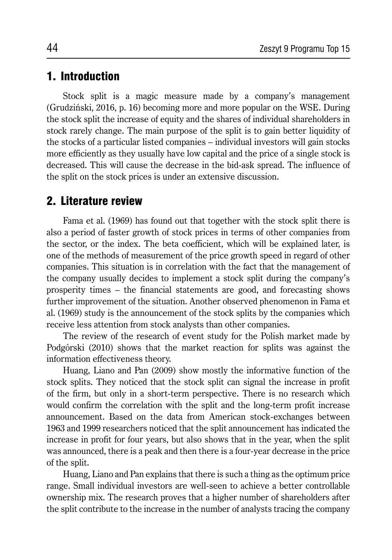#### 1. Introduction

Stock split is a magic measure made by a company's management (Grudziński, 2016, p. 16) becoming more and more popular on the WSE. During the stock split the increase of equity and the shares of individual shareholders in stock rarely change. The main purpose of the split is to gain better liquidity of the stocks of a particular listed companies – individual investors will gain stocks more efficiently as they usually have low capital and the price of a single stock is decreased. This will cause the decrease in the bid-ask spread. The influence of the split on the stock prices is under an extensive discussion.

#### 2. Literature review

Fama et al. (1969) has found out that together with the stock split there is also a period of faster growth of stock prices in terms of other companies from the sector, or the index. The beta coefficient, which will be explained later, is one of the methods of measurement of the price growth speed in regard of other companies. This situation is in correlation with the fact that the management of the company usually decides to implement a stock split during the company's prosperity times – the financial statements are good, and forecasting shows further improvement of the situation. Another observed phenomenon in Fama et al. (1969) study is the announcement of the stock splits by the companies which receive less attention from stock analysts than other companies.

The review of the research of event study for the Polish market made by Podgórski (2010) shows that the market reaction for splits was against the information effectiveness theory.

Huang, Liano and Pan (2009) show mostly the informative function of the stock splits. They noticed that the stock split can signal the increase in profit of the firm, but only in a short-term perspective. There is no research which would confirm the correlation with the split and the long-term profit increase announcement. Based on the data from American stock-exchanges between 1963 and 1999 researchers noticed that the split announcement has indicated the increase in profit for four years, but also shows that in the year, when the split was announced, there is a peak and then there is a four-year decrease in the price of the split.

Huang, Liano and Pan explains that there is such a thing as the optimum price range. Small individual investors are well-seen to achieve a better controllable ownership mix. The research proves that a higher number of shareholders after the split contribute to the increase in the number of analysts tracing the company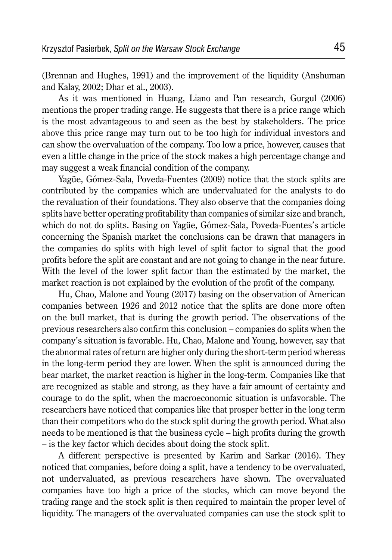(Brennan and Hughes, 1991) and the improvement of the liquidity (Anshuman and Kalay, 2002; Dhar et al., 2003).

As it was mentioned in Huang, Liano and Pan research, Gurgul (2006) mentions the proper trading range. He suggests that there is a price range which is the most advantageous to and seen as the best by stakeholders. The price above this price range may turn out to be too high for individual investors and can show the overvaluation of the company. Too low a price, however, causes that even a little change in the price of the stock makes a high percentage change and may suggest a weak financial condition of the company.

Yagüe, Gómez-Sala, Poveda-Fuentes (2009) notice that the stock splits are contributed by the companies which are undervaluated for the analysts to do the revaluation of their foundations. They also observe that the companies doing splits have better operating profitability than companies of similar size and branch, which do not do splits. Basing on Yagüe, Gómez-Sala, Poveda-Fuentes's article concerning the Spanish market the conclusions can be drawn that managers in the companies do splits with high level of split factor to signal that the good profits before the split are constant and are not going to change in the near future. With the level of the lower split factor than the estimated by the market, the market reaction is not explained by the evolution of the profit of the company.

Hu, Chao, Malone and Young (2017) basing on the observation of American companies between 1926 and 2012 notice that the splits are done more often on the bull market, that is during the growth period. The observations of the previous researchers also confirm this conclusion – companies do splits when the company's situation is favorable. Hu, Chao, Malone and Young, however, say that the abnormal rates of return are higher only during the short-term period whereas in the long-term period they are lower. When the split is announced during the bear market, the market reaction is higher in the long-term. Companies like that are recognized as stable and strong, as they have a fair amount of certainty and courage to do the split, when the macroeconomic situation is unfavorable. The researchers have noticed that companies like that prosper better in the long term than their competitors who do the stock split during the growth period. What also needs to be mentioned is that the business cycle – high profits during the growth – is the key factor which decides about doing the stock split.

A different perspective is presented by Karim and Sarkar (2016). They noticed that companies, before doing a split, have a tendency to be overvaluated, not undervaluated, as previous researchers have shown. The overvaluated companies have too high a price of the stocks, which can move beyond the trading range and the stock split is then required to maintain the proper level of liquidity. The managers of the overvaluated companies can use the stock split to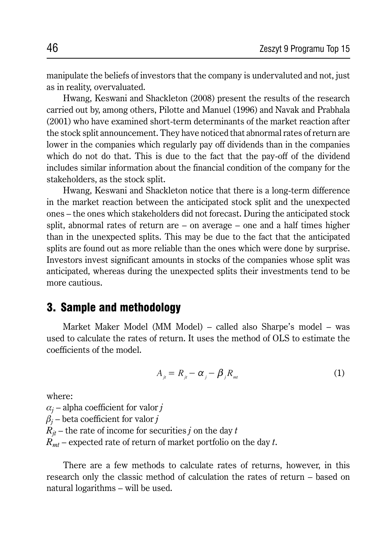manipulate the beliefs of investors that the company is undervaluted and not, just as in reality, overvaluated.

Hwang, Keswani and Shackleton (2008) present the results of the research carried out by, among others, Pilotte and Manuel (1996) and Navak and Prabhala (2001) who have examined short-term determinants of the market reaction after the stock split announcement. They have noticed that abnormal rates of return are lower in the companies which regularly pay off dividends than in the companies which do not do that. This is due to the fact that the pay-off of the dividend includes similar information about the financial condition of the company for the stakeholders, as the stock split.

Hwang, Keswani and Shackleton notice that there is a long-term difference in the market reaction between the anticipated stock split and the unexpected ones – the ones which stakeholders did not forecast. During the anticipated stock split, abnormal rates of return are – on average – one and a half times higher than in the unexpected splits. This may be due to the fact that the anticipated splits are found out as more reliable than the ones which were done by surprise. Investors invest significant amounts in stocks of the companies whose split was anticipated, whereas during the unexpected splits their investments tend to be more cautious.

#### 3. Sample and methodology

Market Maker Model (MM Model) – called also Sharpe's model – was used to calculate the rates of return. It uses the method of OLS to estimate the coefficients of the model.

$$
A_{ji} = R_{ji} - \alpha_j - \beta_j R_{mi} \tag{1}
$$

where:

 $\alpha_j$  – alpha coefficient for valor  $j$  $\beta_j$  – beta coefficient for valor  $j$  $R_{it}$  – the rate of income for securities *j* on the day *t Rmt* – expected rate of return of market portfolio on the day *t*.

There are a few methods to calculate rates of returns, however, in this research only the classic method of calculation the rates of return – based on natural logarithms – will be used.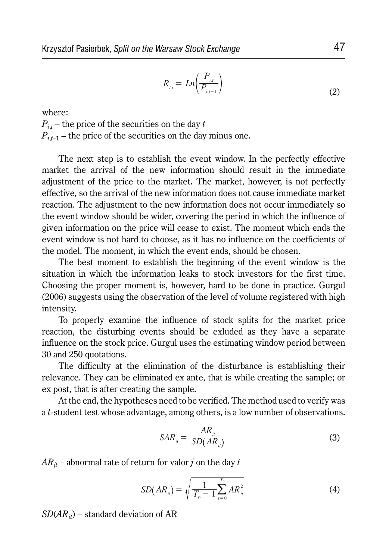$$
R_{i,t} = Ln\left(\frac{P_{i,t}}{P_{i,t-1}}\right)
$$
\n(2)

where:

*Pi*,*<sup>t</sup>* – the price of the securities on the day *t*  $P_{i,t-1}$  – the price of the securities on the day minus one.

The next step is to establish the event window. In the perfectly effective market the arrival of the new information should result in the immediate adjustment of the price to the market. The market, however, is not perfectly effective, so the arrival of the new information does not cause immediate market reaction. The adjustment to the new information does not occur immediately so the event window should be wider, covering the period in which the influence of given information on the price will cease to exist. The moment which ends the event window is not hard to choose, as it has no influence on the coefficients of the model. The moment, in which the event ends, should be chosen.

The best moment to establish the beginning of the event window is the situation in which the information leaks to stock investors for the first time. Choosing the proper moment is, however, hard to be done in practice. Gurgul (2006) suggests using the observation of the level of volume registered with high intensity.

To properly examine the influence of stock splits for the market price reaction, the disturbing events should be exluded as they have a separate influence on the stock price. Gurgul uses the estimating window period between 30 and 250 quotations.

The difficulty at the elimination of the disturbance is establishing their relevance. They can be eliminated ex ante, that is while creating the sample; or ex post, that is after creating the sample.

At the end, the hypotheses need to be verified. The method used to verify was a *t*-student test whose advantage, among others, is a low number of observations.

$$
SAR_{ii} = \frac{AR_{ii}}{SD(AR_{ii})}
$$
\n(3)

 $AR_{it}$  – abnormal rate of return for valor *j* on the day *t* 

$$
SD(ARii) = \sqrt{\frac{1}{T_0 - 1} \sum_{t=0}^{T_0} AR_{it}^2}
$$
 (4)

 $SD(AR<sub>it</sub>)$  – standard deviation of AR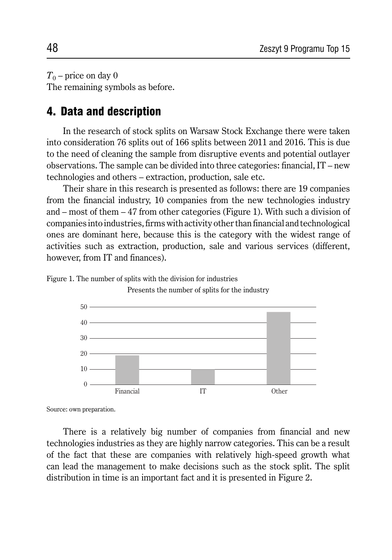$T_0$  – price on day 0 The remaining symbols as before.

#### 4. Data and description

In the research of stock splits on Warsaw Stock Exchange there were taken into consideration 76 splits out of 166 splits between 2011 and 2016. This is due to the need of cleaning the sample from disruptive events and potential outlayer observations. The sample can be divided into three categories: financial, IT – new technologies and others – extraction, production, sale etc.

Their share in this research is presented as follows: there are 19 companies from the financial industry, 10 companies from the new technologies industry and – most of them – 47 from other categories (Figure 1). With such a division of companies into industries, firms with activity other than financial and technological ones are dominant here, because this is the category with the widest range of activities such as extraction, production, sale and various services (different, however, from IT and finances).

Figure 1. The number of splits with the division for industries Presents the number of splits for the industry



Source: own preparation.

There is a relatively big number of companies from financial and new technologies industries as they are highly narrow categories. This can be a result of the fact that these are companies with relatively high-speed growth what can lead the management to make decisions such as the stock split. The split distribution in time is an important fact and it is presented in Figure 2.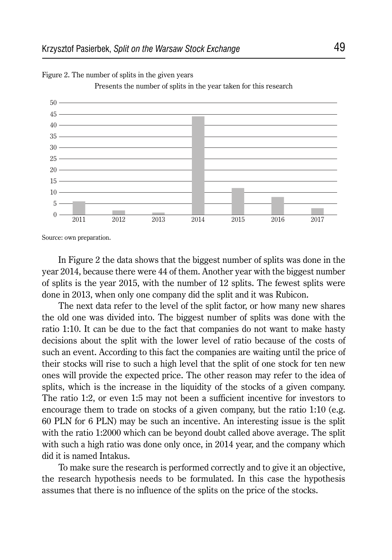

Figure 2. The number of splits in the given years

Presents the number of splits in the year taken for this research

Source: own preparation.

In Figure 2 the data shows that the biggest number of splits was done in the year 2014, because there were 44 of them. Another year with the biggest number of splits is the year 2015, with the number of 12 splits. The fewest splits were done in 2013, when only one company did the split and it was Rubicon.

The next data refer to the level of the split factor, or how many new shares the old one was divided into. The biggest number of splits was done with the ratio 1:10. It can be due to the fact that companies do not want to make hasty decisions about the split with the lower level of ratio because of the costs of such an event. According to this fact the companies are waiting until the price of their stocks will rise to such a high level that the split of one stock for ten new ones will provide the expected price. The other reason may refer to the idea of splits, which is the increase in the liquidity of the stocks of a given company. The ratio 1:2, or even 1:5 may not been a sufficient incentive for investors to encourage them to trade on stocks of a given company, but the ratio 1:10 (e.g. 60 PLN for 6 PLN) may be such an incentive. An interesting issue is the split with the ratio 1:2000 which can be beyond doubt called above average. The split with such a high ratio was done only once, in 2014 year, and the company which did it is named Intakus.

To make sure the research is performed correctly and to give it an objective, the research hypothesis needs to be formulated. In this case the hypothesis assumes that there is no influence of the splits on the price of the stocks.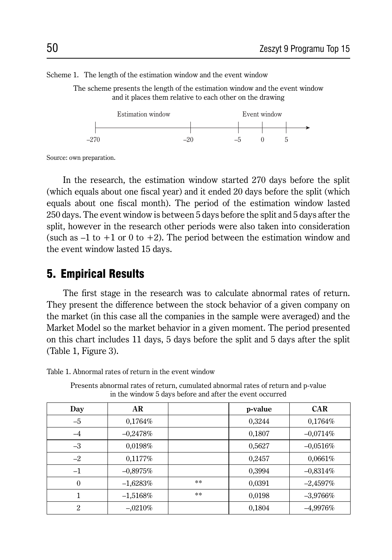Scheme 1. The length of the estimation window and the event window

The scheme presents the length of the estimation window and the event window and it places them relative to each other on the drawing



Source: own preparation.

In the research, the estimation window started 270 days before the split (which equals about one fiscal year) and it ended 20 days before the split (which equals about one fiscal month). The period of the estimation window lasted 250 days. The event window is between 5 days before the split and 5 days after the split, however in the research other periods were also taken into consideration (such as  $-1$  to  $+1$  or 0 to  $+2$ ). The period between the estimation window and the event window lasted 15 days.

#### 5. Empirical Results

The first stage in the research was to calculate abnormal rates of return. They present the difference between the stock behavior of a given company on the market (in this case all the companies in the sample were averaged) and the Market Model so the market behavior in a given moment. The period presented on this chart includes 11 days, 5 days before the split and 5 days after the split (Table 1, Figure 3).

| Day            | AR          |                 | p-value | <b>CAR</b> |
|----------------|-------------|-----------------|---------|------------|
| $-5$           | $0.1764\%$  |                 | 0,3244  | 0,1764%    |
| $-4$           | $-0.2478%$  |                 | 0,1807  | $-0.0714%$ |
| $-3$           | 0.0198%     |                 | 0,5627  | $-0.0516%$ |
| $-2$           | $0.1177\%$  |                 | 0,2457  | 0,0661%    |
| $-1$           | $-0.8975%$  |                 | 0,3994  | $-0.8314%$ |
| $\theta$       | $-1,6283%$  | $\star$ $\star$ | 0.0391  | $-2,4597%$ |
|                | $-1,5168\%$ | $\star$ $\star$ | 0.0198  | $-3.9766%$ |
| $\mathfrak{D}$ | $-.0210%$   |                 | 0,1804  | $-4,9976%$ |

in the window 5 days before and after the event occurred

Table 1. Abnormal rates of return in the event window

Presents abnormal rates of return, cumulated abnormal rates of return and p-value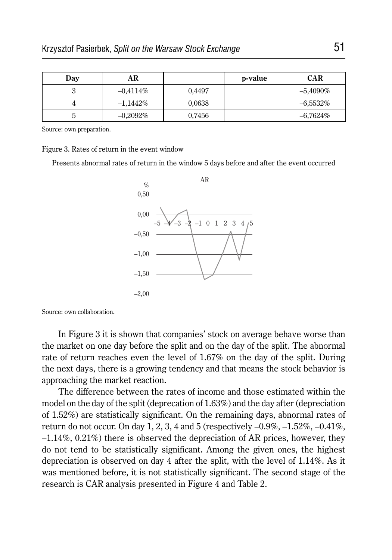| Day | AR          |        | p-value | <b>CAR</b>  |
|-----|-------------|--------|---------|-------------|
| ື   | $-0.4114\%$ | 0.4497 |         | $-5,4090\%$ |
|     | $-1.1442\%$ | 0,0638 |         | $-6,5532\%$ |
| ູ   | $-0.2092\%$ | 0,7456 |         | $-6.7624\%$ |

Source: own preparation.

Figure 3. Rates of return in the event window

Presents abnormal rates of return in the window 5 days before and after the event occurred



Source: own collaboration.

In Figure 3 it is shown that companies' stock on average behave worse than the market on one day before the split and on the day of the split. The abnormal rate of return reaches even the level of 1.67% on the day of the split. During the next days, there is a growing tendency and that means the stock behavior is approaching the market reaction.

The difference between the rates of income and those estimated within the model on the day of the split (deprecation of 1.63%) and the day after (depreciation of 1.52%) are statistically significant. On the remaining days, abnormal rates of return do not occur. On day 1, 2, 3, 4 and 5 (respectively  $-0.9\%$ ,  $-1.52\%$ ,  $-0.41\%$ , –1.14%, 0.21%) there is observed the depreciation of AR prices, however, they do not tend to be statistically significant. Among the given ones, the highest depreciation is observed on day 4 after the split, with the level of 1.14%. As it was mentioned before, it is not statistically significant. The second stage of the research is CAR analysis presented in Figure 4 and Table 2.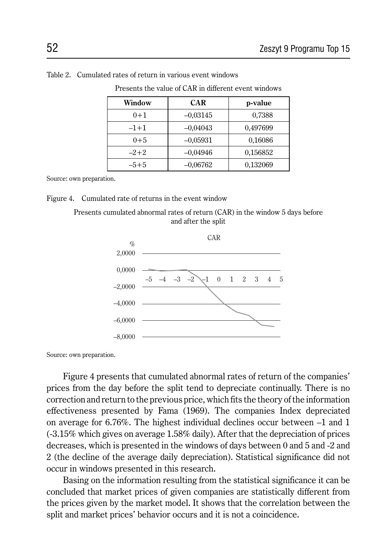| Window  | <b>CAR</b> | p-value  |
|---------|------------|----------|
| $0 + 1$ | $-0.03145$ | 0,7388   |
| $-1+1$  | $-0.04043$ | 0,497699 |
| $0 + 5$ | $-0.05931$ | 0,16086  |
| $-2+2$  | $-0.04946$ | 0,156852 |
| $-5+5$  | $-0.06762$ | 0,132069 |

Table 2. Cumulated rates of return in various event windows

Presents the value of CAR in different event windows

Source: own preparation.

#### Figure 4. Cumulated rate of returns in the event window

Presents cumulated abnormal rates of return (CAR) in the window 5 days before and after the split



Source: own preparation.

Figure 4 presents that cumulated abnormal rates of return of the companies' prices from the day before the split tend to depreciate continually. There is no correction and return to the previous price, which fits the theory of the information effectiveness presented by Fama (1969). The companies Index depreciated on average for 6.76%. The highest individual declines occur between –1 and 1 (-3.15% which gives on average 1.58% daily). After that the depreciation of prices decreases, which is presented in the windows of days between 0 and 5 and -2 and 2 (the decline of the average daily depreciation). Statistical significance did not occur in windows presented in this research.

Basing on the information resulting from the statistical significance it can be concluded that market prices of given companies are statistically different from the prices given by the market model. It shows that the correlation between the split and market prices' behavior occurs and it is not a coincidence.